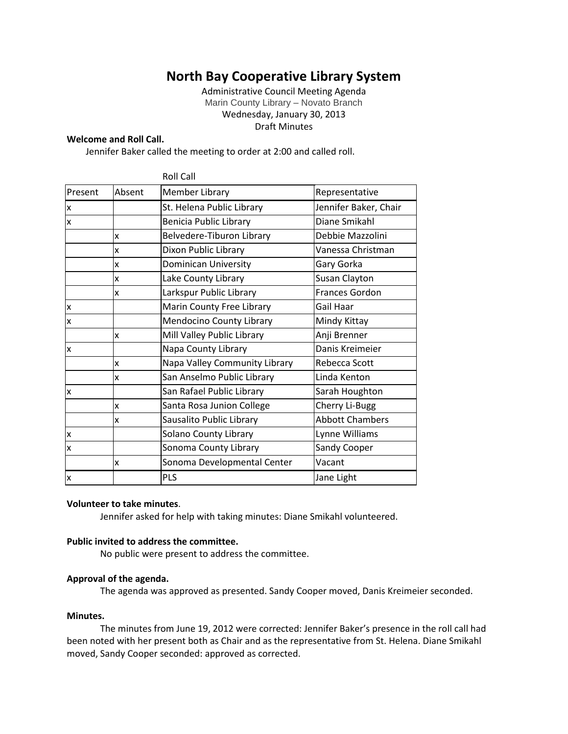# **North Bay Cooperative Library System**

Administrative Council Meeting Agenda Marin County Library – Novato Branch Wednesday, January 30, 2013 Draft Minutes

#### **Welcome and Roll Call.**

Jennifer Baker called the meeting to order at 2:00 and called roll.

|                         |        | <b>Roll Call</b>                |                        |
|-------------------------|--------|---------------------------------|------------------------|
| Present                 | Absent | Member Library                  | Representative         |
| X                       |        | St. Helena Public Library       | Jennifer Baker, Chair  |
| $\overline{\mathsf{x}}$ |        | Benicia Public Library          | Diane Smikahl          |
|                         | x      | Belvedere-Tiburon Library       | Debbie Mazzolini       |
|                         | X      | Dixon Public Library            | Vanessa Christman      |
|                         | x      | Dominican University            | Gary Gorka             |
|                         | x      | Lake County Library             | Susan Clayton          |
|                         | x      | Larkspur Public Library         | Frances Gordon         |
| x                       |        | Marin County Free Library       | Gail Haar              |
| x                       |        | <b>Mendocino County Library</b> | Mindy Kittay           |
|                         | x      | Mill Valley Public Library      | Anji Brenner           |
| x                       |        | Napa County Library             | Danis Kreimeier        |
|                         | x      | Napa Valley Community Library   | Rebecca Scott          |
|                         | x      | San Anselmo Public Library      | Linda Kenton           |
| x                       |        | San Rafael Public Library       | Sarah Houghton         |
|                         | x      | Santa Rosa Junion College       | Cherry Li-Bugg         |
|                         | x      | Sausalito Public Library        | <b>Abbott Chambers</b> |
| x                       |        | Solano County Library           | Lynne Williams         |
| x                       |        | Sonoma County Library           | Sandy Cooper           |
|                         | x      | Sonoma Developmental Center     | Vacant                 |
| X                       |        | <b>PLS</b>                      | Jane Light             |

## **Volunteer to take minutes**.

Jennifer asked for help with taking minutes: Diane Smikahl volunteered.

# **Public invited to address the committee.**

No public were present to address the committee.

### **Approval of the agenda.**

The agenda was approved as presented. Sandy Cooper moved, Danis Kreimeier seconded.

#### **Minutes.**

The minutes from June 19, 2012 were corrected: Jennifer Baker's presence in the roll call had been noted with her present both as Chair and as the representative from St. Helena. Diane Smikahl moved, Sandy Cooper seconded: approved as corrected.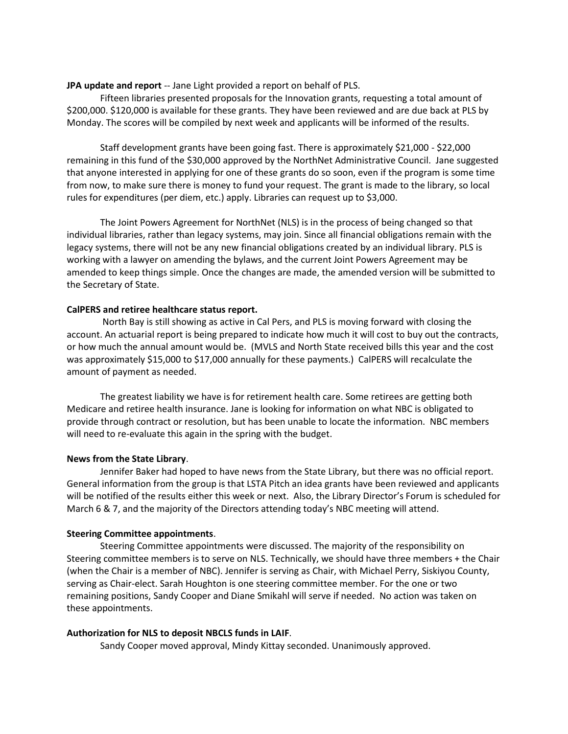## **JPA update and report** -- Jane Light provided a report on behalf of PLS.

Fifteen libraries presented proposals for the Innovation grants, requesting a total amount of \$200,000. \$120,000 is available for these grants. They have been reviewed and are due back at PLS by Monday. The scores will be compiled by next week and applicants will be informed of the results.

Staff development grants have been going fast. There is approximately \$21,000 - \$22,000 remaining in this fund of the \$30,000 approved by the NorthNet Administrative Council. Jane suggested that anyone interested in applying for one of these grants do so soon, even if the program is some time from now, to make sure there is money to fund your request. The grant is made to the library, so local rules for expenditures (per diem, etc.) apply. Libraries can request up to \$3,000.

The Joint Powers Agreement for NorthNet (NLS) is in the process of being changed so that individual libraries, rather than legacy systems, may join. Since all financial obligations remain with the legacy systems, there will not be any new financial obligations created by an individual library. PLS is working with a lawyer on amending the bylaws, and the current Joint Powers Agreement may be amended to keep things simple. Once the changes are made, the amended version will be submitted to the Secretary of State.

## **CalPERS and retiree healthcare status report.**

North Bay is still showing as active in Cal Pers, and PLS is moving forward with closing the account. An actuarial report is being prepared to indicate how much it will cost to buy out the contracts, or how much the annual amount would be. (MVLS and North State received bills this year and the cost was approximately \$15,000 to \$17,000 annually for these payments.) CalPERS will recalculate the amount of payment as needed.

The greatest liability we have is for retirement health care. Some retirees are getting both Medicare and retiree health insurance. Jane is looking for information on what NBC is obligated to provide through contract or resolution, but has been unable to locate the information. NBC members will need to re-evaluate this again in the spring with the budget.

### **News from the State Library**.

Jennifer Baker had hoped to have news from the State Library, but there was no official report. General information from the group is that LSTA Pitch an idea grants have been reviewed and applicants will be notified of the results either this week or next. Also, the Library Director's Forum is scheduled for March 6 & 7, and the majority of the Directors attending today's NBC meeting will attend.

# **Steering Committee appointments**.

Steering Committee appointments were discussed. The majority of the responsibility on Steering committee members is to serve on NLS. Technically, we should have three members + the Chair (when the Chair is a member of NBC). Jennifer is serving as Chair, with Michael Perry, Siskiyou County, serving as Chair-elect. Sarah Houghton is one steering committee member. For the one or two remaining positions, Sandy Cooper and Diane Smikahl will serve if needed. No action was taken on these appointments.

### **Authorization for NLS to deposit NBCLS funds in LAIF**.

Sandy Cooper moved approval, Mindy Kittay seconded. Unanimously approved.